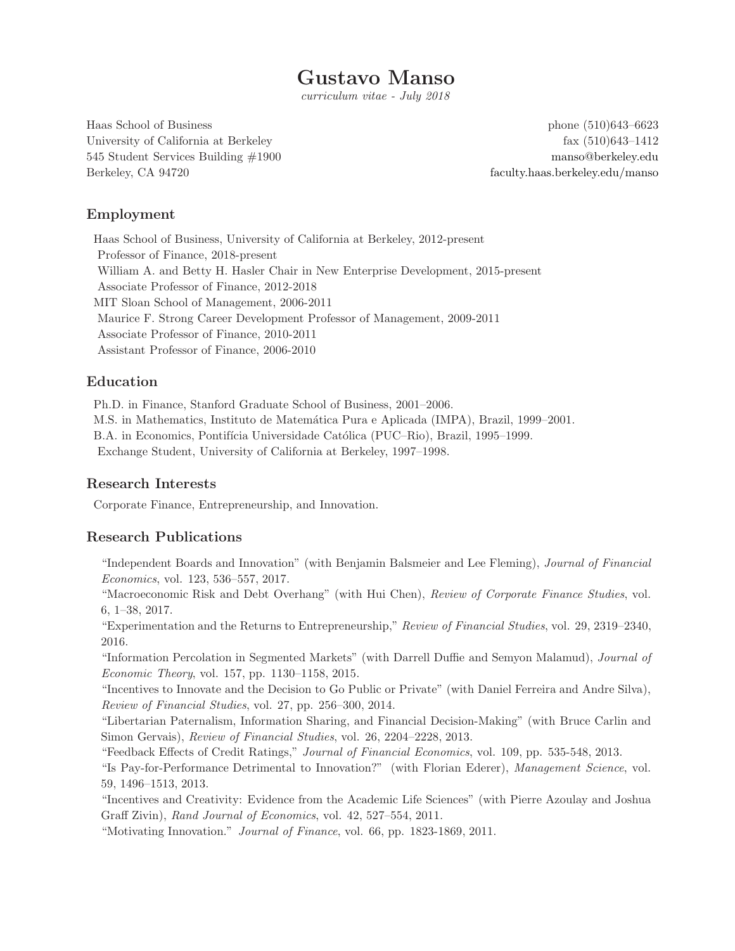# Gustavo Manso

curriculum vitae - July 2018

Haas School of Business phone (510)643–6623 University of California at Berkeley fax (510)643-1412 545 Student Services Building #1900 [manso@berkeley.edu](mailto:manso@berkeley.edu) Berkeley, CA 94720 [faculty.haas.berkeley.edu/manso](http://faculty.haas.berkeley.edu/manso)

## Employment

Haas School of Business, University of California at Berkeley, 2012-present Professor of Finance, 2018-present William A. and Betty H. Hasler Chair in New Enterprise Development, 2015-present Associate Professor of Finance, 2012-2018 MIT Sloan School of Management, 2006-2011 Maurice F. Strong Career Development Professor of Management, 2009-2011 Associate Professor of Finance, 2010-2011 Assistant Professor of Finance, 2006-2010

## Education

Ph.D. in Finance, Stanford Graduate School of Business, 2001–2006. M.S. in Mathematics, Instituto de Matem´atica Pura e Aplicada (IMPA), Brazil, 1999–2001. B.A. in Economics, Pontifícia Universidade Católica (PUC–Rio), Brazil, 1995–1999. Exchange Student, University of California at Berkeley, 1997–1998.

## Research Interests

Corporate Finance, Entrepreneurship, and Innovation.

## Research Publications

"Independent Boards and Innovation" (with Benjamin Balsmeier and Lee Fleming), Journal of Financial Economics, vol. 123, 536–557, 2017.

"Macroeconomic Risk and Debt Overhang" (with Hui Chen), Review of Corporate Finance Studies, vol. 6, 1–38, 2017.

"Experimentation and the Returns to Entrepreneurship," Review of Financial Studies, vol. 29, 2319–2340, 2016.

"Information Percolation in Segmented Markets" (with Darrell Duffie and Semyon Malamud), Journal of Economic Theory, vol. 157, pp. 1130–1158, 2015.

"Incentives to Innovate and the Decision to Go Public or Private" (with Daniel Ferreira and Andre Silva), Review of Financial Studies, vol. 27, pp. 256–300, 2014.

"Libertarian Paternalism, Information Sharing, and Financial Decision-Making" (with Bruce Carlin and Simon Gervais), Review of Financial Studies, vol. 26, 2204–2228, 2013.

"Feedback Effects of Credit Ratings," Journal of Financial Economics, vol. 109, pp. 535-548, 2013.

"Is Pay-for-Performance Detrimental to Innovation?" (with Florian Ederer), Management Science, vol. 59, 1496–1513, 2013.

"Incentives and Creativity: Evidence from the Academic Life Sciences" (with Pierre Azoulay and Joshua Graff Zivin), Rand Journal of Economics, vol. 42, 527–554, 2011.

"Motivating Innovation." Journal of Finance, vol. 66, pp. 1823-1869, 2011.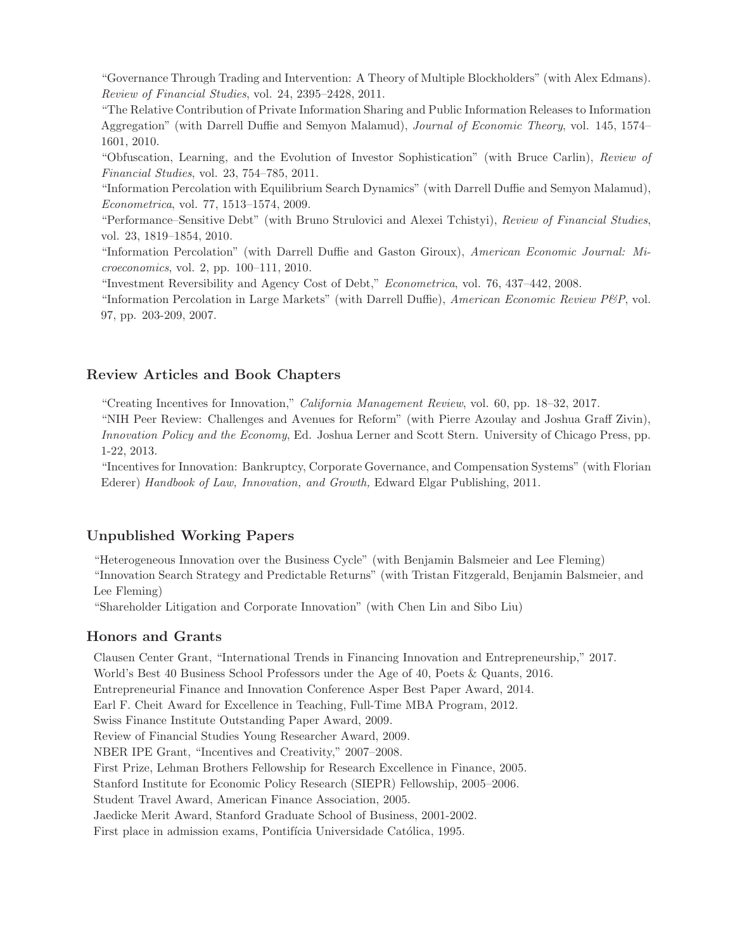"Governance Through Trading and Intervention: A Theory of Multiple Blockholders" (with Alex Edmans). Review of Financial Studies, vol. 24, 2395–2428, 2011.

"The Relative Contribution of Private Information Sharing and Public Information Releases to Information Aggregation" (with Darrell Duffie and Semyon Malamud), Journal of Economic Theory, vol. 145, 1574– 1601, 2010.

"Obfuscation, Learning, and the Evolution of Investor Sophistication" (with Bruce Carlin), Review of Financial Studies, vol. 23, 754–785, 2011.

"Information Percolation with Equilibrium Search Dynamics" (with Darrell Duffie and Semyon Malamud), Econometrica, vol. 77, 1513–1574, 2009.

"Performance–Sensitive Debt" (with Bruno Strulovici and Alexei Tchistyi), Review of Financial Studies, vol. 23, 1819–1854, 2010.

"Information Percolation" (with Darrell Duffie and Gaston Giroux), American Economic Journal: Microeconomics, vol. 2, pp. 100–111, 2010.

"Investment Reversibility and Agency Cost of Debt," Econometrica, vol. 76, 437–442, 2008.

"Information Percolation in Large Markets" (with Darrell Duffie), American Economic Review P&P, vol. 97, pp. 203-209, 2007.

#### Review Articles and Book Chapters

"Creating Incentives for Innovation," California Management Review, vol. 60, pp. 18–32, 2017.

"NIH Peer Review: Challenges and Avenues for Reform" (with Pierre Azoulay and Joshua Graff Zivin), Innovation Policy and the Economy, Ed. Joshua Lerner and Scott Stern. University of Chicago Press, pp. 1-22, 2013.

"Incentives for Innovation: Bankruptcy, Corporate Governance, and Compensation Systems" (with Florian Ederer) Handbook of Law, Innovation, and Growth, Edward Elgar Publishing, 2011.

#### Unpublished Working Papers

"Heterogeneous Innovation over the Business Cycle" (with Benjamin Balsmeier and Lee Fleming) "Innovation Search Strategy and Predictable Returns" (with Tristan Fitzgerald, Benjamin Balsmeier, and Lee Fleming)

"Shareholder Litigation and Corporate Innovation" (with Chen Lin and Sibo Liu)

#### Honors and Grants

Clausen Center Grant, "International Trends in Financing Innovation and Entrepreneurship," 2017. World's Best 40 Business School Professors under the Age of 40, Poets & Quants, 2016. Entrepreneurial Finance and Innovation Conference Asper Best Paper Award, 2014. Earl F. Cheit Award for Excellence in Teaching, Full-Time MBA Program, 2012. Swiss Finance Institute Outstanding Paper Award, 2009. Review of Financial Studies Young Researcher Award, 2009. NBER IPE Grant, "Incentives and Creativity," 2007–2008. First Prize, Lehman Brothers Fellowship for Research Excellence in Finance, 2005. Stanford Institute for Economic Policy Research (SIEPR) Fellowship, 2005–2006. Student Travel Award, American Finance Association, 2005. Jaedicke Merit Award, Stanford Graduate School of Business, 2001-2002. First place in admission exams, Pontifícia Universidade Católica, 1995.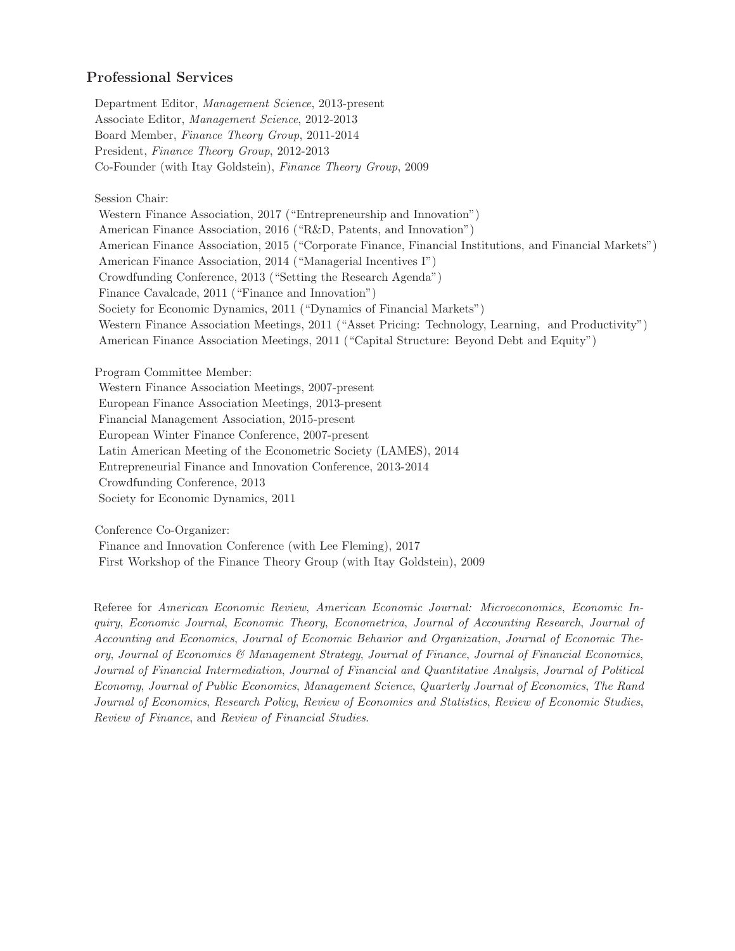## Professional Services

Department Editor, Management Science, 2013-present Associate Editor, Management Science, 2012-2013 Board Member, Finance Theory Group, 2011-2014 President, Finance Theory Group, 2012-2013 Co-Founder (with Itay Goldstein), Finance Theory Group, 2009

#### Session Chair:

Western Finance Association, 2017 ("Entrepreneurship and Innovation") American Finance Association, 2016 ("R&D, Patents, and Innovation") American Finance Association, 2015 ("Corporate Finance, Financial Institutions, and Financial Markets") American Finance Association, 2014 ("Managerial Incentives I") Crowdfunding Conference, 2013 ("Setting the Research Agenda") Finance Cavalcade, 2011 ("Finance and Innovation") Society for Economic Dynamics, 2011 ("Dynamics of Financial Markets") Western Finance Association Meetings, 2011 ("Asset Pricing: Technology, Learning, and Productivity") American Finance Association Meetings, 2011 ("Capital Structure: Beyond Debt and Equity")

Program Committee Member:

Western Finance Association Meetings, 2007-present European Finance Association Meetings, 2013-present Financial Management Association, 2015-present European Winter Finance Conference, 2007-present Latin American Meeting of the Econometric Society (LAMES), 2014 Entrepreneurial Finance and Innovation Conference, 2013-2014 Crowdfunding Conference, 2013 Society for Economic Dynamics, 2011

Conference Co-Organizer:

Finance and Innovation Conference (with Lee Fleming), 2017

First Workshop of the Finance Theory Group (with Itay Goldstein), 2009

Referee for American Economic Review, American Economic Journal: Microeconomics, Economic Inquiry, Economic Journal, Economic Theory, Econometrica, Journal of Accounting Research, Journal of Accounting and Economics, Journal of Economic Behavior and Organization, Journal of Economic Theory, Journal of Economics & Management Strategy, Journal of Finance, Journal of Financial Economics, Journal of Financial Intermediation, Journal of Financial and Quantitative Analysis, Journal of Political Economy, Journal of Public Economics, Management Science, Quarterly Journal of Economics, The Rand Journal of Economics, Research Policy, Review of Economics and Statistics, Review of Economic Studies, Review of Finance, and Review of Financial Studies.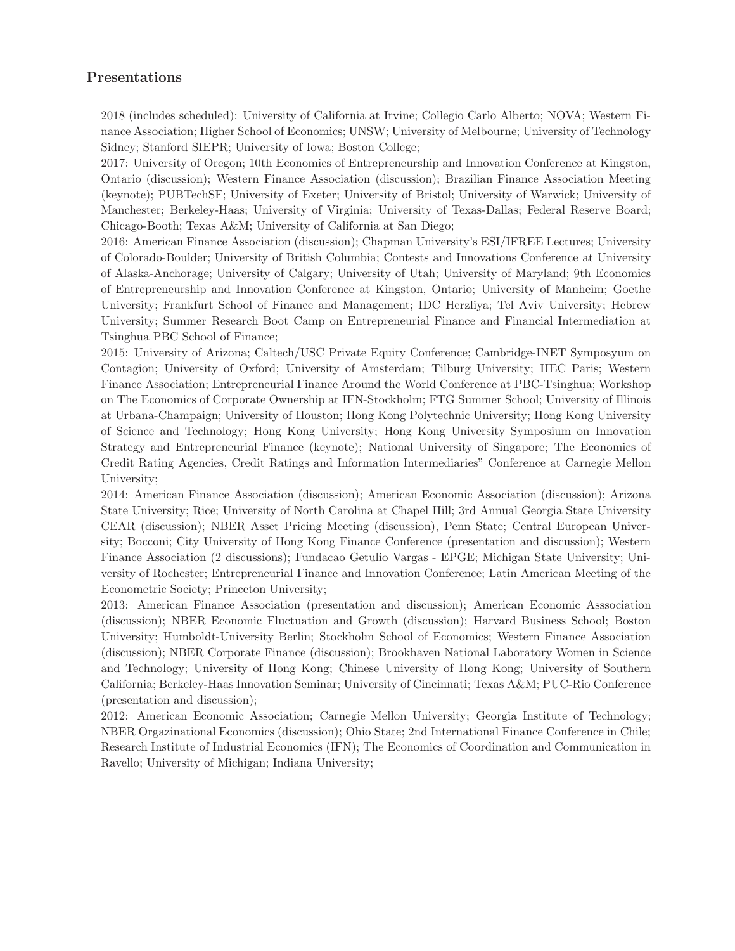## Presentations

2018 (includes scheduled): University of California at Irvine; Collegio Carlo Alberto; NOVA; Western Finance Association; Higher School of Economics; UNSW; University of Melbourne; University of Technology Sidney; Stanford SIEPR; University of Iowa; Boston College;

2017: University of Oregon; 10th Economics of Entrepreneurship and Innovation Conference at Kingston, Ontario (discussion); Western Finance Association (discussion); Brazilian Finance Association Meeting (keynote); PUBTechSF; University of Exeter; University of Bristol; University of Warwick; University of Manchester; Berkeley-Haas; University of Virginia; University of Texas-Dallas; Federal Reserve Board; Chicago-Booth; Texas A&M; University of California at San Diego;

2016: American Finance Association (discussion); Chapman University's ESI/IFREE Lectures; University of Colorado-Boulder; University of British Columbia; Contests and Innovations Conference at University of Alaska-Anchorage; University of Calgary; University of Utah; University of Maryland; 9th Economics of Entrepreneurship and Innovation Conference at Kingston, Ontario; University of Manheim; Goethe University; Frankfurt School of Finance and Management; IDC Herzliya; Tel Aviv University; Hebrew University; Summer Research Boot Camp on Entrepreneurial Finance and Financial Intermediation at Tsinghua PBC School of Finance;

2015: University of Arizona; Caltech/USC Private Equity Conference; Cambridge-INET Symposyum on Contagion; University of Oxford; University of Amsterdam; Tilburg University; HEC Paris; Western Finance Association; Entrepreneurial Finance Around the World Conference at PBC-Tsinghua; Workshop on The Economics of Corporate Ownership at IFN-Stockholm; FTG Summer School; University of Illinois at Urbana-Champaign; University of Houston; Hong Kong Polytechnic University; Hong Kong University of Science and Technology; Hong Kong University; Hong Kong University Symposium on Innovation Strategy and Entrepreneurial Finance (keynote); National University of Singapore; The Economics of Credit Rating Agencies, Credit Ratings and Information Intermediaries" Conference at Carnegie Mellon University;

2014: American Finance Association (discussion); American Economic Association (discussion); Arizona State University; Rice; University of North Carolina at Chapel Hill; 3rd Annual Georgia State University CEAR (discussion); NBER Asset Pricing Meeting (discussion), Penn State; Central European University; Bocconi; City University of Hong Kong Finance Conference (presentation and discussion); Western Finance Association (2 discussions); Fundacao Getulio Vargas - EPGE; Michigan State University; University of Rochester; Entrepreneurial Finance and Innovation Conference; Latin American Meeting of the Econometric Society; Princeton University;

2013: American Finance Association (presentation and discussion); American Economic Asssociation (discussion); NBER Economic Fluctuation and Growth (discussion); Harvard Business School; Boston University; Humboldt-University Berlin; Stockholm School of Economics; Western Finance Association (discussion); NBER Corporate Finance (discussion); Brookhaven National Laboratory Women in Science and Technology; University of Hong Kong; Chinese University of Hong Kong; University of Southern California; Berkeley-Haas Innovation Seminar; University of Cincinnati; Texas A&M; PUC-Rio Conference (presentation and discussion);

2012: American Economic Association; Carnegie Mellon University; Georgia Institute of Technology; NBER Orgazinational Economics (discussion); Ohio State; 2nd International Finance Conference in Chile; Research Institute of Industrial Economics (IFN); The Economics of Coordination and Communication in Ravello; University of Michigan; Indiana University;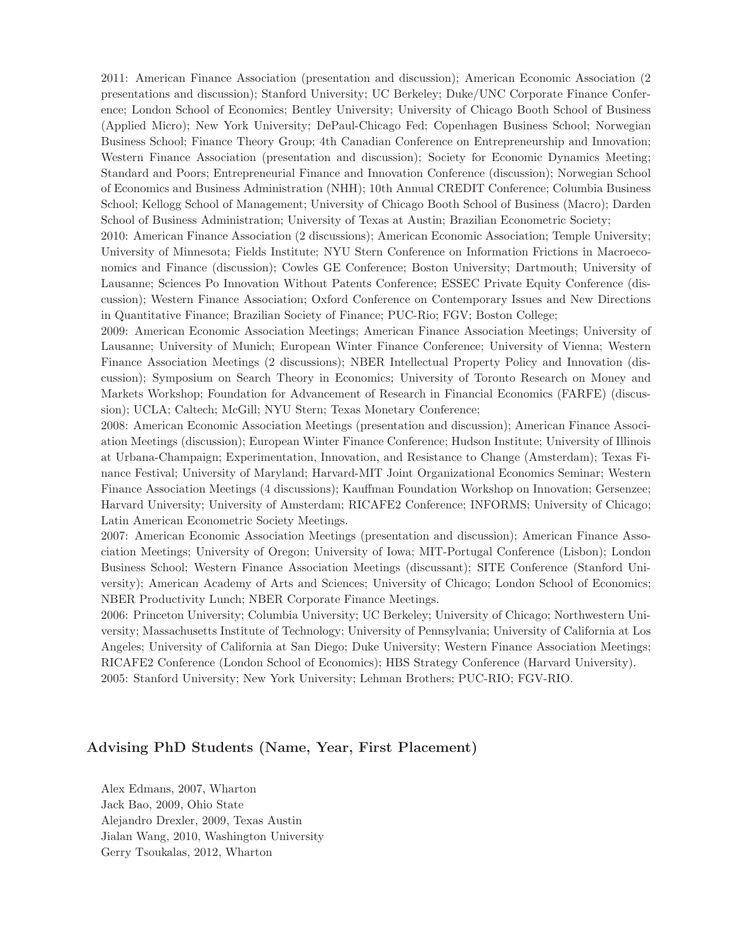2011: American Finance Association (presentation and discussion); American Economic Association (2 presentations and discussion); Stanford University; UC Berkeley; Duke/UNC Corporate Finance Conference; London School of Economics; Bentley University; University of Chicago Booth School of Business (Applied Micro); New York University; DePaul-Chicago Fed; Copenhagen Business School; Norwegian Business School; Finance Theory Group; 4th Canadian Conference on Entrepreneurship and Innovation; Western Finance Association (presentation and discussion); Society for Economic Dynamics Meeting; Standard and Poors; Entrepreneurial Finance and Innovation Conference (discussion); Norwegian School of Economics and Business Administration (NHH); 10th Annual CREDIT Conference; Columbia Business School; Kellogg School of Management; University of Chicago Booth School of Business (Macro); Darden School of Business Administration; University of Texas at Austin; Brazilian Econometric Society;

2010: American Finance Association (2 discussions); American Economic Association; Temple University; University of Minnesota; Fields Institute; NYU Stern Conference on Information Frictions in Macroeconomics and Finance (discussion); Cowles GE Conference; Boston University; Dartmouth; University of Lausanne; Sciences Po Innovation Without Patents Conference; ESSEC Private Equity Conference (discussion); Western Finance Association; Oxford Conference on Contemporary Issues and New Directions in Quantitative Finance; Brazilian Society of Finance; PUC-Rio; FGV; Boston College;

2009: American Economic Association Meetings; American Finance Association Meetings; University of Lausanne; University of Munich; European Winter Finance Conference; University of Vienna; Western Finance Association Meetings (2 discussions); NBER Intellectual Property Policy and Innovation (discussion); Symposium on Search Theory in Economics; University of Toronto Research on Money and Markets Workshop; Foundation for Advancement of Research in Financial Economics (FARFE) (discussion); UCLA; Caltech; McGill; NYU Stern; Texas Monetary Conference;

2008: American Economic Association Meetings (presentation and discussion); American Finance Association Meetings (discussion); European Winter Finance Conference; Hudson Institute; University of Illinois at Urbana-Champaign; Experimentation, Innovation, and Resistance to Change (Amsterdam); Texas Finance Festival; University of Maryland; Harvard-MIT Joint Organizational Economics Seminar; Western Finance Association Meetings (4 discussions); Kauffman Foundation Workshop on Innovation; Gersenzee; Harvard University; University of Amsterdam; RICAFE2 Conference; INFORMS; University of Chicago; Latin American Econometric Society Meetings.

2007: American Economic Association Meetings (presentation and discussion); American Finance Association Meetings; University of Oregon; University of Iowa; MIT-Portugal Conference (Lisbon); London Business School; Western Finance Association Meetings (discussant); SITE Conference (Stanford University); American Academy of Arts and Sciences; University of Chicago; London School of Economics; NBER Productivity Lunch; NBER Corporate Finance Meetings.

2006: Princeton University; Columbia University; UC Berkeley; University of Chicago; Northwestern University; Massachusetts Institute of Technology; University of Pennsylvania; University of California at Los Angeles; University of California at San Diego; Duke University; Western Finance Association Meetings; RICAFE2 Conference (London School of Economics); HBS Strategy Conference (Harvard University). 2005: Stanford University; New York University; Lehman Brothers; PUC-RIO; FGV-RIO.

#### Advising PhD Students (Name, Year, First Placement)

Alex Edmans, 2007, Wharton Jack Bao, 2009, Ohio State Alejandro Drexler, 2009, Texas Austin Jialan Wang, 2010, Washington University Gerry Tsoukalas, 2012, Wharton